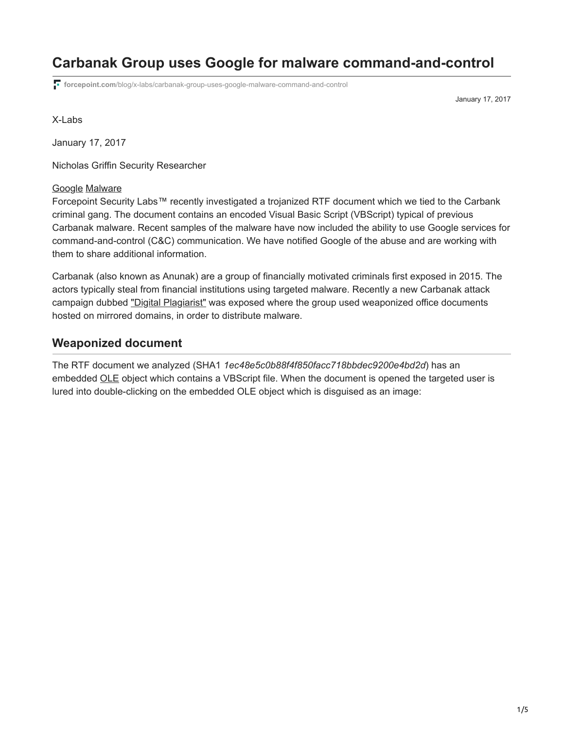# **Carbanak Group uses Google for malware command-and-control**

**forcepoint.com**[/blog/x-labs/carbanak-group-uses-google-malware-command-and-control](https://www.forcepoint.com/blog/x-labs/carbanak-group-uses-google-malware-command-and-control)

January 17, 2017

X-Labs

January 17, 2017

Nicholas Griffin Security Researcher

#### [Google](https://www.forcepoint.com/blog/tags/google) [Malware](https://www.forcepoint.com/blog/tags/malware)

Forcepoint Security Labs™ recently investigated a trojanized RTF document which we tied to the Carbank criminal gang. The document contains an encoded Visual Basic Script (VBScript) typical of previous Carbanak malware. Recent samples of the malware have now included the ability to use Google services for command-and-control (C&C) communication. We have notified Google of the abuse and are working with them to share additional information.

Carbanak (also known as Anunak) are a group of financially motivated criminals first exposed in 2015. The actors typically steal from financial institutions using targeted malware. Recently a new Carbanak attack campaign dubbed ["Digital Plagiarist"](https://www.tr1adx.net/intel/TIB-00002.html) was exposed where the group used weaponized office documents hosted on mirrored domains, in order to distribute malware.

### **Weaponized document**

The RTF document we analyzed (SHA1 *1ec48e5c0b88f4f850facc718bbdec9200e4bd2d*) has an embedded [OLE](https://en.wikipedia.org/wiki/Object_Linking_and_Embedding) object which contains a VBScript file. When the document is opened the targeted user is lured into double-clicking on the embedded OLE object which is disguised as an image: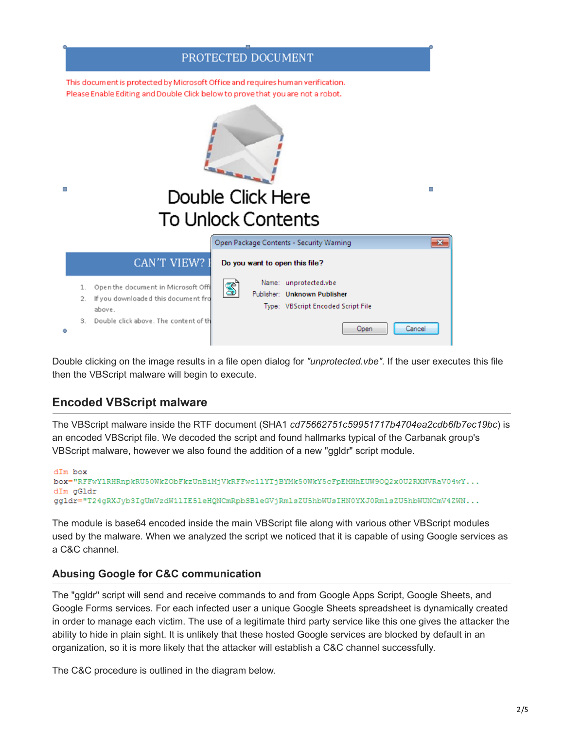## PROTECTED DOCUMENT This document is protected by Microsoft Office and requires human verification. Please Enable Editing and Double Click below to prove that you are not a robot. п  $\blacksquare$ Double Click Here **To Unlock Contents**  $-x$ Open Package Contents - Security Warning CAN'T VIEW? Do you want to open this file? Name: unprotected.vbe S 1. Open the document in Microsoft Off Publisher: Unknown Publisher 2. If you downloaded this document fro Type: VBScript Encoded Script File above 3. Double click above. The content of th Cancel Open

Double clicking on the image results in a file open dialog for *"unprotected.vbe"*. If the user executes this file then the VBScript malware will begin to execute.

# **Encoded VBScript malware**

The VBScript malware inside the RTF document (SHA1 *cd75662751c59951717b4704ea2cdb6fb7ec19bc*) is an encoded VBScript file. We decoded the script and found hallmarks typical of the Carbanak group's VBScript malware, however we also found the addition of a new "ggldr" script module.

```
dIm box
box="RFFwY1RHRnpkRU50WkZObFkzUnBiMjVkRFFwc11YTjBYMk50WkY5cFpEMHhEUW9OQ2x0U2RXNVRaV04wY...
dIm gGldr
ggldr="T24gRXJyb3IgUmVzdW1lIE51eHQNCmRpbSB1eGVjRmlsZU5hbWUsIHN0YXJ0RmlsZU5hbWUNCmV4ZWN...
```
The module is base64 encoded inside the main VBScript file along with various other VBScript modules used by the malware. When we analyzed the script we noticed that it is capable of using Google services as a C&C channel.

### **Abusing Google for C&C communication**

The "ggldr" script will send and receive commands to and from Google Apps Script, Google Sheets, and Google Forms services. For each infected user a unique Google Sheets spreadsheet is dynamically created in order to manage each victim. The use of a legitimate third party service like this one gives the attacker the ability to hide in plain sight. It is unlikely that these hosted Google services are blocked by default in an organization, so it is more likely that the attacker will establish a C&C channel successfully.

The C&C procedure is outlined in the diagram below.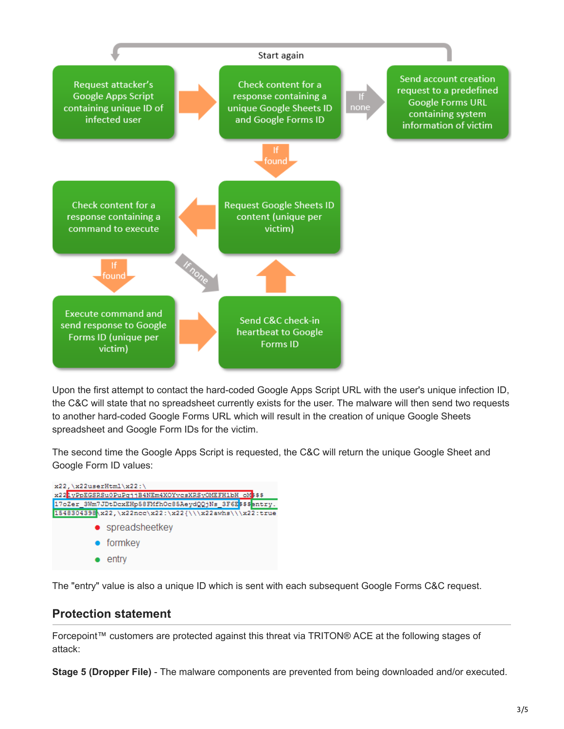

Upon the first attempt to contact the hard-coded Google Apps Script URL with the user's unique infection ID, the C&C will state that no spreadsheet currently exists for the user. The malware will then send two requests to another hard-coded Google Forms URL which will result in the creation of unique Google Sheets spreadsheet and Google Form IDs for the victim.

The second time the Google Apps Script is requested, the C&C will return the unique Google Sheet and Google Form ID values:



The "entry" value is also a unique ID which is sent with each subsequent Google Forms C&C request.

# **Protection statement**

Forcepoint™ customers are protected against this threat via TRITON® ACE at the following stages of attack:

**Stage 5 (Dropper File)** - The malware components are prevented from being downloaded and/or executed.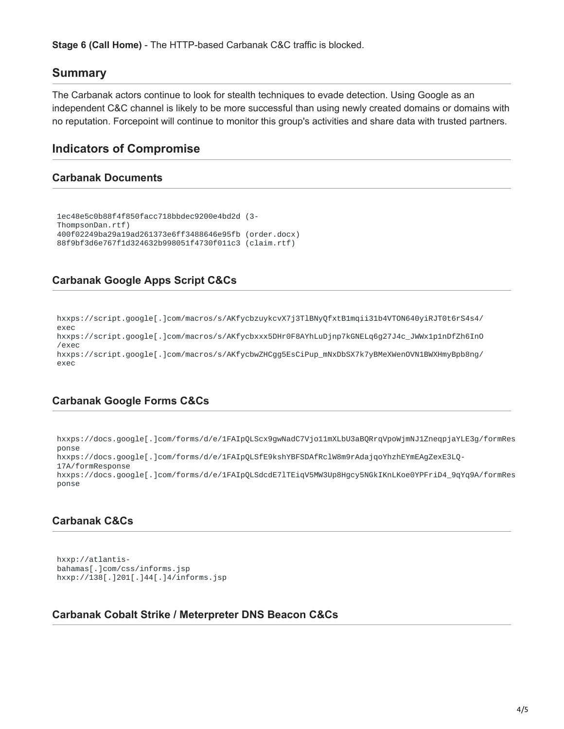**Stage 6 (Call Home)** - The HTTP-based Carbanak C&C traffic is blocked.

### **Summary**

The Carbanak actors continue to look for stealth techniques to evade detection. Using Google as an independent C&C channel is likely to be more successful than using newly created domains or domains with no reputation. Forcepoint will continue to monitor this group's activities and share data with trusted partners.

### **Indicators of Compromise**

#### **Carbanak Documents**

```
1ec48e5c0b88f4f850facc718bbdec9200e4bd2d (3-
ThompsonDan.rtf)
400f02249ba29a19ad261373e6ff3488646e95fb (order.docx)
88f9bf3d6e767f1d324632b998051f4730f011c3 (claim.rtf)
```
### **Carbanak Google Apps Script C&Cs**

```
hxxps://script.google[.]com/macros/s/AKfycbzuykcvX7j3TlBNyQfxtB1mqii31b4VTON640yiRJT0t6rS4s4/
exec
hxxps://script.google[.]com/macros/s/AKfycbxxx5DHr0F8AYhLuDjnp7kGNELq6g27J4c_JWWx1p1nDfZh6InO
/exec
hxxps://script.google[.]com/macros/s/AKfycbwZHCgg5EsCiPup_mNxDbSX7k7yBMeXWenOVN1BWXHmyBpb8ng/
exec
```
### **Carbanak Google Forms C&Cs**

hxxps://docs.google[.]com/forms/d/e/1FAIpQLScx9gwNadC7Vjo11mXLbU3aBQRrqVpoWjmNJ1ZneqpjaYLE3g/formRes ponse hxxps://docs.google[.]com/forms/d/e/1FAIpQLSfE9kshYBFSDAfRclW8m9rAdajqoYhzhEYmEAgZexE3LQ-17A/formResponse hxxps://docs.google[.]com/forms/d/e/1FAIpQLSdcdE7lTEiqV5MW3Up8Hgcy5NGkIKnLKoe0YPFriD4\_9qYq9A/formRes ponse

### **Carbanak C&Cs**

```
hxxp://atlantis-
bahamas[.]com/css/informs.jsp
hxxp://138[.]201[.]44[.]4/informs.jsp
```
#### **Carbanak Cobalt Strike / Meterpreter DNS Beacon C&Cs**